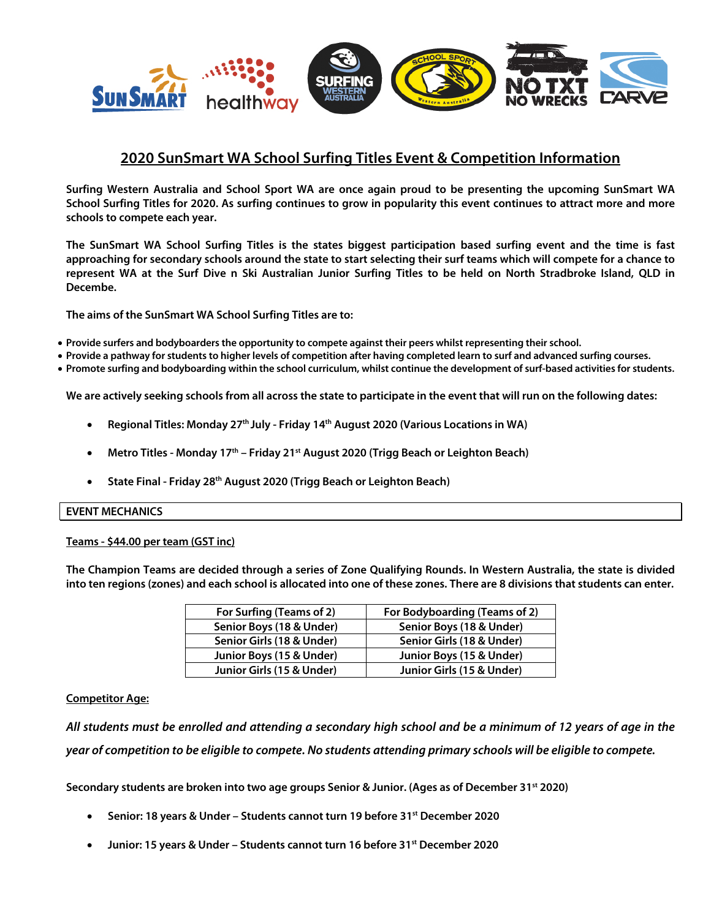

# **2020 SunSmart WA School Surfing Titles Event & Competition Information**

**Surfing Western Australia and School Sport WA are once again proud to be presenting the upcoming SunSmart WA School Surfing Titles for 2020. As surfing continues to grow in popularity this event continues to attract more and more schools to compete each year.**

**The SunSmart WA School Surfing Titles is the states biggest participation based surfing event and the time is fast approaching for secondary schools around the state to start selecting their surf teams which will compete for a chance to represent WA at the Surf Dive n Ski Australian Junior Surfing Titles to be held on North Stradbroke Island, QLD in Decembe.**

**The aims of the SunSmart WA School Surfing Titles are to:**

- **Provide surfers and bodyboarders the opportunity to compete against their peers whilst representing their school.**
- **Provide a pathway for students to higher levels of competition after having completed learn to surf and advanced surfing courses.**
- **Promote surfing and bodyboarding within the school curriculum, whilst continue the development of surf-based activities for students.**

**We are actively seeking schools from all across the state to participate in the event that will run on the following dates:**

- **Regional Titles: Monday 27th July - Friday 14th August 2020 (Various Locations in WA)**
- **Metro Titles - Monday 17th – Friday 21st August 2020 (Trigg Beach or Leighton Beach)**
- **State Final - Friday 28th August 2020 (Trigg Beach or Leighton Beach)**

#### **EVENT MECHANICS**

#### **Teams - \$44.00 per team (GST inc)**

**The Champion Teams are decided through a series of Zone Qualifying Rounds. In Western Australia, the state is divided into ten regions (zones) and each school is allocated into one of these zones. There are 8 divisions that students can enter.** 

| For Surfing (Teams of 2)  | For Bodyboarding (Teams of 2) |
|---------------------------|-------------------------------|
| Senior Boys (18 & Under)  | Senior Boys (18 & Under)      |
| Senior Girls (18 & Under) | Senior Girls (18 & Under)     |
| Junior Boys (15 & Under)  | Junior Boys (15 & Under)      |
| Junior Girls (15 & Under) | Junior Girls (15 & Under)     |

#### **Competitor Age:**

*All students must be enrolled and attending a secondary high school and be a minimum of 12 years of age in the year of competition to be eligible to compete. No students attending primary schools will be eligible to compete.*

**Secondary students are broken into two age groups Senior & Junior. (Ages as of December 31st 2020)**

- **Senior: 18 years & Under – Students cannot turn 19 before 31st December 2020**
- **Junior: 15 years & Under – Students cannot turn 16 before 31st December 2020**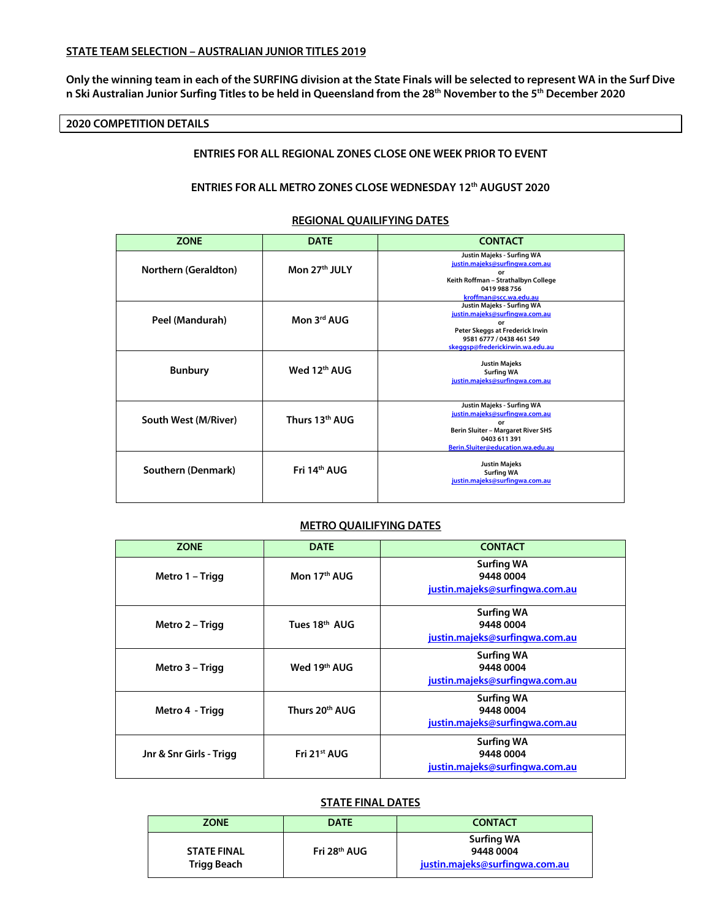### **STATE TEAM SELECTION – AUSTRALIAN JUNIOR TITLES 2019**

**Only the winning team in each of the SURFING division at the State Finals will be selected to represent WA in the Surf Dive n Ski Australian Junior Surfing Titles to be held in Queensland from the 28th November to the 5th December 2020**

## **2020 COMPETITION DETAILS**

## **ENTRIES FOR ALL REGIONAL ZONES CLOSE ONE WEEK PRIOR TO EVENT**

## **ENTRIES FOR ALL METRO ZONES CLOSE WEDNESDAY 12th AUGUST 2020**

#### **REGIONAL QUAILIFYING DATES**

| <b>ZONE</b>          | <b>DATE</b>              | <b>CONTACT</b>                                                                                                                                                        |
|----------------------|--------------------------|-----------------------------------------------------------------------------------------------------------------------------------------------------------------------|
| Northern (Geraldton) | Mon 27th JULY            | Justin Majeks - Surfing WA<br>justin.majeks@surfingwa.com.au<br>or<br>Keith Roffman - Strathalbyn College<br>0419 988 756<br>kroffman@scc.wa.edu.au                   |
| Peel (Mandurah)      | Mon 3rd AUG              | Justin Majeks - Surfing WA<br>justin.majeks@surfingwa.com.au<br>Ωr<br>Peter Skeggs at Frederick Irwin<br>9581 6777 / 0438 461 549<br>skeggsp@frederickirwin.wa.edu.au |
| <b>Bunbury</b>       | Wed 12 <sup>th</sup> AUG | <b>Justin Majeks</b><br><b>Surfing WA</b><br>justin.majeks@surfingwa.com.au                                                                                           |
| South West (M/River) | Thurs 13th AUG           | Justin Majeks - Surfing WA<br>justin.majeks@surfingwa.com.au<br>or<br>Berin Sluiter - Margaret River SHS<br>0403 611 391<br>Berin.Sluiter@education.wa.edu.au         |
| Southern (Denmark)   | Fri 14 <sup>th</sup> AUG | <b>Justin Majeks</b><br><b>Surfing WA</b><br>justin.majeks@surfingwa.com.au                                                                                           |

#### **METRO QUAILIFYING DATES**

| <b>ZONE</b>             | <b>DATE</b>              | <b>CONTACT</b>                                                   |
|-------------------------|--------------------------|------------------------------------------------------------------|
| Metro 1 – Trigg         | Mon 17 <sup>th</sup> AUG | <b>Surfing WA</b><br>9448 0004<br>justin.majeks@surfingwa.com.au |
| Metro 2 – Trigg         | Tues 18th AUG            | <b>Surfing WA</b><br>9448 0004<br>justin.majeks@surfingwa.com.au |
| Metro 3 – Trigg         | Wed 19th AUG             | <b>Surfing WA</b><br>9448 0004<br>justin.majeks@surfingwa.com.au |
| Metro 4 - Trigg         | Thurs 20th AUG           | <b>Surfing WA</b><br>9448 0004<br>justin.majeks@surfingwa.com.au |
| Jnr & Snr Girls - Trigg | Fri 21 <sup>st</sup> AUG | <b>Surfing WA</b><br>9448 0004<br>justin.majeks@surfingwa.com.au |

#### **STATE FINAL DATES**

| <b>ZONE</b>                       | DATE                     | <b>CONTACT</b>                                                   |
|-----------------------------------|--------------------------|------------------------------------------------------------------|
| <b>STATE FINAL</b><br>Trigg Beach | Fri 28 <sup>th</sup> AUG | <b>Surfing WA</b><br>9448 0004<br>justin.majeks@surfingwa.com.au |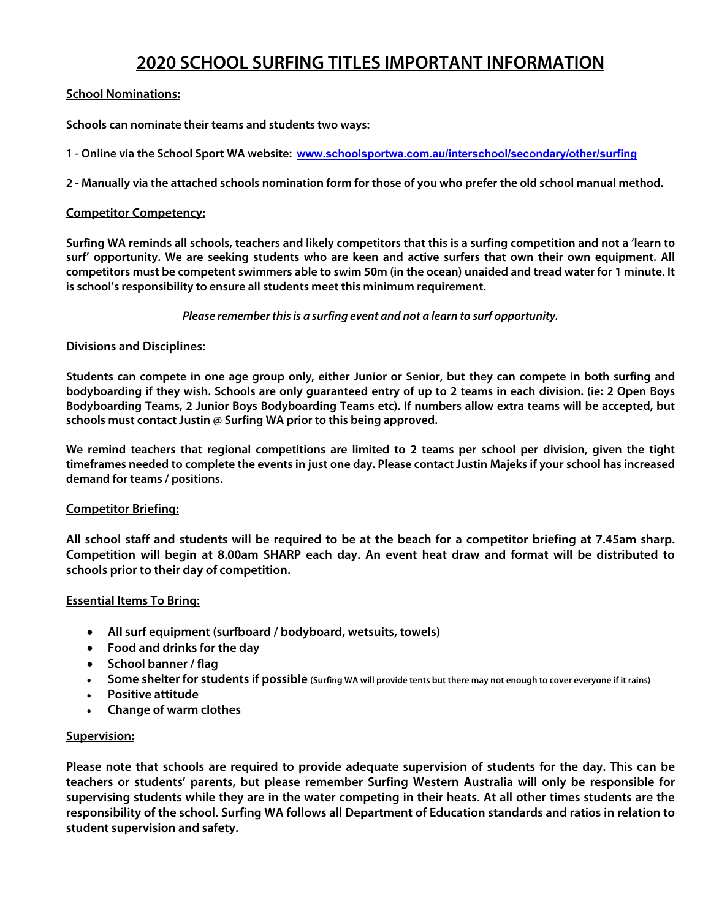# **2020 SCHOOL SURFING TITLES IMPORTANT INFORMATION**

# **School Nominations:**

**Schools can nominate their teams and students two ways:**

**1 - Online via the School Sport WA website: www.schoolsportwa.com.au/interschool/secondary/other/surfing**

**2 - Manually via the attached schools nomination form for those of you who prefer the old school manual method.**

## **Competitor Competency:**

**Surfing WA reminds all schools, teachers and likely competitors that this is a surfing competition and not a 'learn to surf' opportunity. We are seeking students who are keen and active surfers that own their own equipment. All competitors must be competent swimmers able to swim 50m (in the ocean) unaided and tread water for 1 minute. It is school's responsibility to ensure all students meet this minimum requirement.**

*Please remember this is a surfing event and not a learn to surf opportunity.*

## **Divisions and Disciplines:**

**Students can compete in one age group only, either Junior or Senior, but they can compete in both surfing and bodyboarding if they wish. Schools are only guaranteed entry of up to 2 teams in each division. (ie: 2 Open Boys Bodyboarding Teams, 2 Junior Boys Bodyboarding Teams etc). If numbers allow extra teams will be accepted, but schools must contact Justin @ Surfing WA prior to this being approved.**

**We remind teachers that regional competitions are limited to 2 teams per school per division, given the tight timeframes needed to complete the events in just one day. Please contact Justin Majeks if your school has increased demand for teams / positions.**

## **Competitor Briefing:**

**All school staff and students will be required to be at the beach for a competitor briefing at 7.45am sharp. Competition will begin at 8.00am SHARP each day. An event heat draw and format will be distributed to schools prior to their day of competition.**

## **Essential Items To Bring:**

- **All surf equipment (surfboard / bodyboard, wetsuits, towels)**
- **Food and drinks for the day**
- **School banner / flag**
- **Some shelter for students if possible (Surfing WA will provide tents but there may not enough to cover everyone if it rains)**
- **Positive attitude**
- **Change of warm clothes**

## **Supervision:**

**Please note that schools are required to provide adequate supervision of students for the day. This can be teachers or students' parents, but please remember Surfing Western Australia will only be responsible for supervising students while they are in the water competing in their heats. At all other times students are the responsibility of the school. Surfing WA follows all Department of Education standards and ratios in relation to student supervision and safety.**